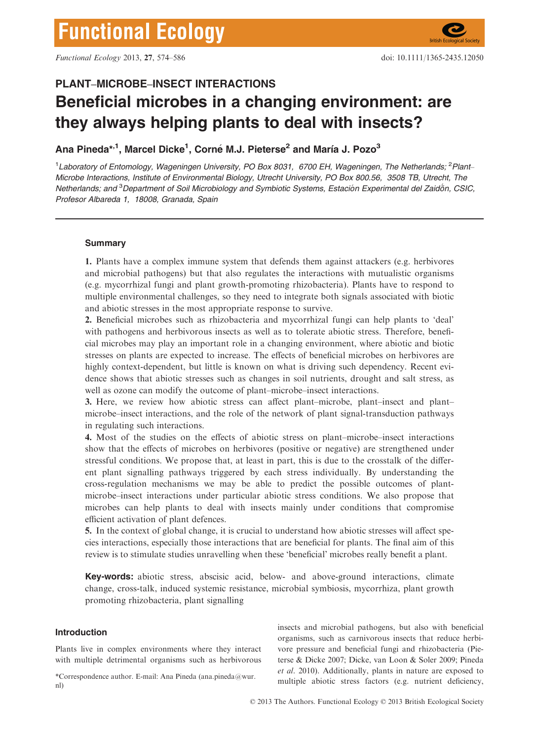# PLANT–MICROBE–INSECT INTERACTIONS Beneficial microbes in a changing environment: are they always helping plants to deal with insects?

# Ana Pineda\*<sup>,1</sup>, Marcel Dicke<sup>1</sup>, Corné M.J. Pieterse<sup>2</sup> and María J. Pozo<sup>3</sup>

<sup>1</sup>Laboratory of Entomology, Wageningen University, PO Box 8031, 6700 EH, Wageningen, The Netherlands; <sup>2</sup>Plant-Microbe Interactions, Institute of Environmental Biology, Utrecht University, PO Box 800.56, 3508 TB, Utrecht, The Netherlands; and <sup>3</sup>Department of Soil Microbiology and Symbiotic Systems, Estación Experimental del Zaidőn, CSIC, Profesor Albareda 1, 18008, Granada, Spain

# Summary

1. Plants have a complex immune system that defends them against attackers (e.g. herbivores and microbial pathogens) but that also regulates the interactions with mutualistic organisms (e.g. mycorrhizal fungi and plant growth-promoting rhizobacteria). Plants have to respond to multiple environmental challenges, so they need to integrate both signals associated with biotic and abiotic stresses in the most appropriate response to survive.

2. Beneficial microbes such as rhizobacteria and mycorrhizal fungi can help plants to 'deal' with pathogens and herbivorous insects as well as to tolerate abiotic stress. Therefore, beneficial microbes may play an important role in a changing environment, where abiotic and biotic stresses on plants are expected to increase. The effects of beneficial microbes on herbivores are highly context-dependent, but little is known on what is driving such dependency. Recent evidence shows that abiotic stresses such as changes in soil nutrients, drought and salt stress, as well as ozone can modify the outcome of plant–microbe–insect interactions.

3. Here, we review how abiotic stress can affect plant–microbe, plant–insect and plant– microbe–insect interactions, and the role of the network of plant signal-transduction pathways in regulating such interactions.

4. Most of the studies on the effects of abiotic stress on plant–microbe–insect interactions show that the effects of microbes on herbivores (positive or negative) are strengthened under stressful conditions. We propose that, at least in part, this is due to the crosstalk of the different plant signalling pathways triggered by each stress individually. By understanding the cross-regulation mechanisms we may be able to predict the possible outcomes of plantmicrobe–insect interactions under particular abiotic stress conditions. We also propose that microbes can help plants to deal with insects mainly under conditions that compromise efficient activation of plant defences.

5. In the context of global change, it is crucial to understand how abiotic stresses will affect species interactions, especially those interactions that are beneficial for plants. The final aim of this review is to stimulate studies unravelling when these 'beneficial' microbes really benefit a plant.

Key-words: abiotic stress, abscisic acid, below- and above-ground interactions, climate change, cross-talk, induced systemic resistance, microbial symbiosis, mycorrhiza, plant growth promoting rhizobacteria, plant signalling

## Introduction

Plants live in complex environments where they interact with multiple detrimental organisms such as herbivorous

nl)

insects and microbial pathogens, but also with beneficial organisms, such as carnivorous insects that reduce herbivore pressure and beneficial fungi and rhizobacteria (Pieterse & Dicke 2007; Dicke, van Loon & Soler 2009; Pineda et al. 2010). Additionally, plants in nature are exposed to multiple abiotic stress factors (e.g. nutrient deficiency, \*Correspondence author. E-mail: Ana Pineda (ana.pineda@wur.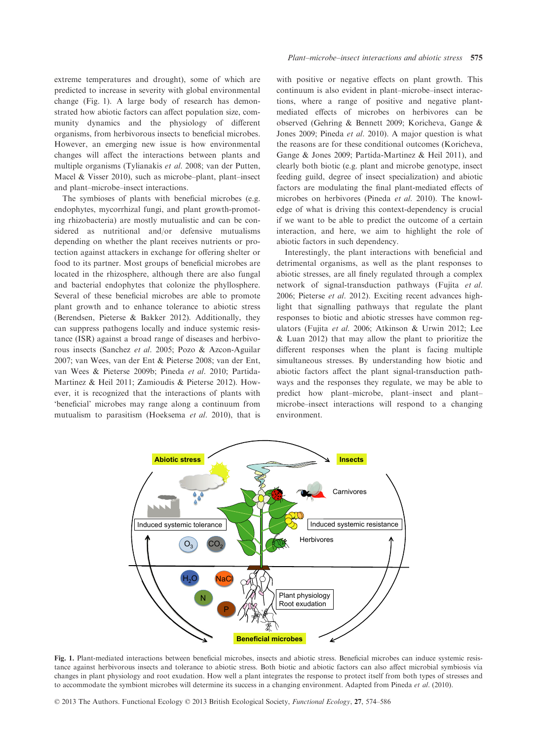extreme temperatures and drought), some of which are predicted to increase in severity with global environmental change (Fig. 1). A large body of research has demonstrated how abiotic factors can affect population size, community dynamics and the physiology of different organisms, from herbivorous insects to beneficial microbes. However, an emerging new issue is how environmental changes will affect the interactions between plants and multiple organisms (Tylianakis et al. 2008; van der Putten, Macel & Visser 2010), such as microbe–plant, plant–insect and plant–microbe–insect interactions.

The symbioses of plants with beneficial microbes (e.g. endophytes, mycorrhizal fungi, and plant growth-promoting rhizobacteria) are mostly mutualistic and can be considered as nutritional and/or defensive mutualisms depending on whether the plant receives nutrients or protection against attackers in exchange for offering shelter or food to its partner. Most groups of beneficial microbes are located in the rhizosphere, although there are also fungal and bacterial endophytes that colonize the phyllosphere. Several of these beneficial microbes are able to promote plant growth and to enhance tolerance to abiotic stress (Berendsen, Pieterse & Bakker 2012). Additionally, they can suppress pathogens locally and induce systemic resistance (ISR) against a broad range of diseases and herbivorous insects (Sanchez et al. 2005; Pozo & Azcon-Aguilar 2007; van Wees, van der Ent & Pieterse 2008; van der Ent, van Wees & Pieterse 2009b; Pineda et al. 2010; Partida-Martinez & Heil 2011; Zamioudis & Pieterse 2012). However, it is recognized that the interactions of plants with 'beneficial' microbes may range along a continuum from mutualism to parasitism (Hoeksema et al. 2010), that is

with positive or negative effects on plant growth. This continuum is also evident in plant–microbe–insect interactions, where a range of positive and negative plantmediated effects of microbes on herbivores can be observed (Gehring & Bennett 2009; Koricheva, Gange & Jones 2009; Pineda et al. 2010). A major question is what the reasons are for these conditional outcomes (Koricheva, Gange & Jones 2009; Partida-Martinez & Heil 2011), and clearly both biotic (e.g. plant and microbe genotype, insect feeding guild, degree of insect specialization) and abiotic factors are modulating the final plant-mediated effects of microbes on herbivores (Pineda et al. 2010). The knowledge of what is driving this context-dependency is crucial if we want to be able to predict the outcome of a certain interaction, and here, we aim to highlight the role of abiotic factors in such dependency.

Interestingly, the plant interactions with beneficial and detrimental organisms, as well as the plant responses to abiotic stresses, are all finely regulated through a complex network of signal-transduction pathways (Fujita et al. 2006; Pieterse et al. 2012). Exciting recent advances highlight that signalling pathways that regulate the plant responses to biotic and abiotic stresses have common regulators (Fujita et al. 2006; Atkinson & Urwin 2012; Lee & Luan 2012) that may allow the plant to prioritize the different responses when the plant is facing multiple simultaneous stresses. By understanding how biotic and abiotic factors affect the plant signal-transduction pathways and the responses they regulate, we may be able to predict how plant–microbe, plant–insect and plant– microbe–insect interactions will respond to a changing environment.



Fig. 1. Plant-mediated interactions between beneficial microbes, insects and abiotic stress. Beneficial microbes can induce systemic resistance against herbivorous insects and tolerance to abiotic stress. Both biotic and abiotic factors can also affect microbial symbiosis via changes in plant physiology and root exudation. How well a plant integrates the response to protect itself from both types of stresses and to accommodate the symbiont microbes will determine its success in a changing environment. Adapted from Pineda et al. (2010).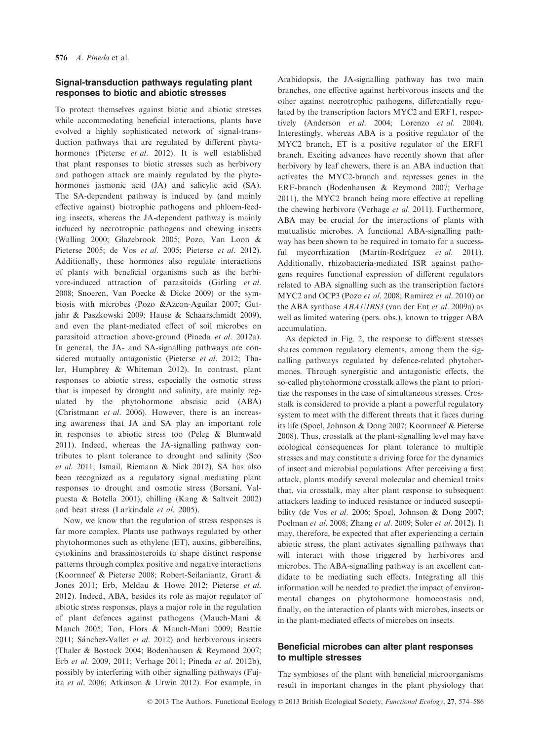# Signal-transduction pathways regulating plant responses to biotic and abiotic stresses

To protect themselves against biotic and abiotic stresses while accommodating beneficial interactions, plants have evolved a highly sophisticated network of signal-transduction pathways that are regulated by different phytohormones (Pieterse et al. 2012). It is well established that plant responses to biotic stresses such as herbivory and pathogen attack are mainly regulated by the phytohormones jasmonic acid (JA) and salicylic acid (SA). The SA-dependent pathway is induced by (and mainly effective against) biotrophic pathogens and phloem-feeding insects, whereas the JA-dependent pathway is mainly induced by necrotrophic pathogens and chewing insects (Walling 2000; Glazebrook 2005; Pozo, Van Loon & Pieterse 2005; de Vos et al. 2005; Pieterse et al. 2012). Additionally, these hormones also regulate interactions of plants with beneficial organisms such as the herbivore-induced attraction of parasitoids (Girling et al. 2008; Snoeren, Van Poecke & Dicke 2009) or the symbiosis with microbes (Pozo &Azcon-Aguilar 2007; Gutjahr & Paszkowski 2009; Hause & Schaarschmidt 2009), and even the plant-mediated effect of soil microbes on parasitoid attraction above-ground (Pineda et al. 2012a). In general, the JA- and SA-signalling pathways are considered mutually antagonistic (Pieterse et al. 2012; Thaler, Humphrey & Whiteman 2012). In contrast, plant responses to abiotic stress, especially the osmotic stress that is imposed by drought and salinity, are mainly regulated by the phytohormone abscisic acid (ABA) (Christmann et al. 2006). However, there is an increasing awareness that JA and SA play an important role in responses to abiotic stress too (Peleg & Blumwald 2011). Indeed, whereas the JA-signalling pathway contributes to plant tolerance to drought and salinity (Seo et al. 2011; Ismail, Riemann & Nick 2012), SA has also been recognized as a regulatory signal mediating plant responses to drought and osmotic stress (Borsani, Valpuesta & Botella 2001), chilling (Kang & Saltveit 2002) and heat stress (Larkindale et al. 2005).

Now, we know that the regulation of stress responses is far more complex. Plants use pathways regulated by other phytohormones such as ethylene (ET), auxins, gibberellins, cytokinins and brassinosteroids to shape distinct response patterns through complex positive and negative interactions (Koornneef & Pieterse 2008; Robert-Seilaniantz, Grant & Jones 2011; Erb, Meldau & Howe 2012; Pieterse et al. 2012). Indeed, ABA, besides its role as major regulator of abiotic stress responses, plays a major role in the regulation of plant defences against pathogens (Mauch-Mani & Mauch 2005; Ton, Flors & Mauch-Mani 2009; Beattie 2011; Sánchez-Vallet et al. 2012) and herbivorous insects (Thaler & Bostock 2004; Bodenhausen & Reymond 2007; Erb et al. 2009, 2011; Verhage 2011; Pineda et al. 2012b), possibly by interfering with other signalling pathways (Fujita et al. 2006; Atkinson & Urwin 2012). For example, in

Arabidopsis, the JA-signalling pathway has two main branches, one effective against herbivorous insects and the other against necrotrophic pathogens, differentially regulated by the transcription factors MYC2 and ERF1, respectively (Anderson et al. 2004; Lorenzo et al. 2004). Interestingly, whereas ABA is a positive regulator of the MYC2 branch, ET is a positive regulator of the ERF1 branch. Exciting advances have recently shown that after herbivory by leaf chewers, there is an ABA induction that activates the MYC2-branch and represses genes in the ERF-branch (Bodenhausen & Reymond 2007; Verhage 2011), the MYC2 branch being more effective at repelling the chewing herbivore (Verhage et al. 2011). Furthermore, ABA may be crucial for the interactions of plants with mutualistic microbes. A functional ABA-signalling pathway has been shown to be required in tomato for a successful mycorrhization (Martín-Rodríguez et al. 2011). Additionally, rhizobacteria-mediated ISR against pathogens requires functional expression of different regulators related to ABA signalling such as the transcription factors MYC2 and OCP3 (Pozo et al. 2008; Ramirez et al. 2010) or the ABA synthase ABA1/IBS3 (van der Ent et al. 2009a) as well as limited watering (pers. obs.), known to trigger ABA accumulation.

As depicted in Fig. 2, the response to different stresses shares common regulatory elements, among them the signalling pathways regulated by defence-related phytohormones. Through synergistic and antagonistic effects, the so-called phytohormone crosstalk allows the plant to prioritize the responses in the case of simultaneous stresses. Crosstalk is considered to provide a plant a powerful regulatory system to meet with the different threats that it faces during its life (Spoel, Johnson & Dong 2007; Koornneef & Pieterse 2008). Thus, crosstalk at the plant-signalling level may have ecological consequences for plant tolerance to multiple stresses and may constitute a driving force for the dynamics of insect and microbial populations. After perceiving a first attack, plants modify several molecular and chemical traits that, via crosstalk, may alter plant response to subsequent attackers leading to induced resistance or induced susceptibility (de Vos et al. 2006; Spoel, Johnson & Dong 2007; Poelman et al. 2008; Zhang et al. 2009; Soler et al. 2012). It may, therefore, be expected that after experiencing a certain abiotic stress, the plant activates signalling pathways that will interact with those triggered by herbivores and microbes. The ABA-signalling pathway is an excellent candidate to be mediating such effects. Integrating all this information will be needed to predict the impact of environmental changes on phytohormone homoeostasis and, finally, on the interaction of plants with microbes, insects or in the plant-mediated effects of microbes on insects.

## Beneficial microbes can alter plant responses to multiple stresses

The symbioses of the plant with beneficial microorganisms result in important changes in the plant physiology that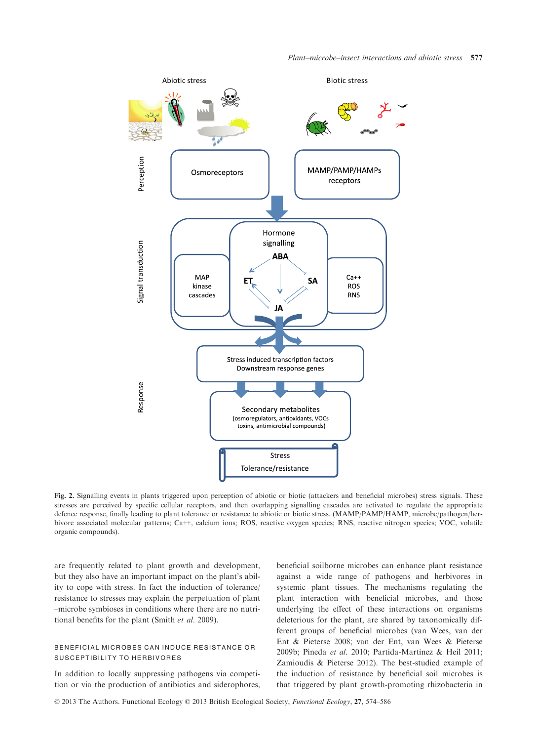

Fig. 2. Signalling events in plants triggered upon perception of abiotic or biotic (attackers and beneficial microbes) stress signals. These stresses are perceived by specific cellular receptors, and then overlapping signalling cascades are activated to regulate the appropriate defence response, finally leading to plant tolerance or resistance to abiotic or biotic stress. (MAMP/PAMP/HAMP, microbe/pathogen/herbivore associated molecular patterns; Ca++, calcium ions; ROS, reactive oxygen species; RNS, reactive nitrogen species; VOC, volatile organic compounds).

are frequently related to plant growth and development, but they also have an important impact on the plant's ability to cope with stress. In fact the induction of tolerance/ resistance to stresses may explain the perpetuation of plant –microbe symbioses in conditions where there are no nutritional benefits for the plant (Smith et al. 2009).

#### BENEFICIAL MICROBES CAN INDUCE RESISTANCE OR SUSCEPTIBILITY TO HERBIVORES

In addition to locally suppressing pathogens via competition or via the production of antibiotics and siderophores,

beneficial soilborne microbes can enhance plant resistance against a wide range of pathogens and herbivores in systemic plant tissues. The mechanisms regulating the plant interaction with beneficial microbes, and those underlying the effect of these interactions on organisms deleterious for the plant, are shared by taxonomically different groups of beneficial microbes (van Wees, van der Ent & Pieterse 2008; van der Ent, van Wees & Pieterse 2009b; Pineda et al. 2010; Partida-Martinez & Heil 2011; Zamioudis & Pieterse 2012). The best-studied example of the induction of resistance by beneficial soil microbes is that triggered by plant growth-promoting rhizobacteria in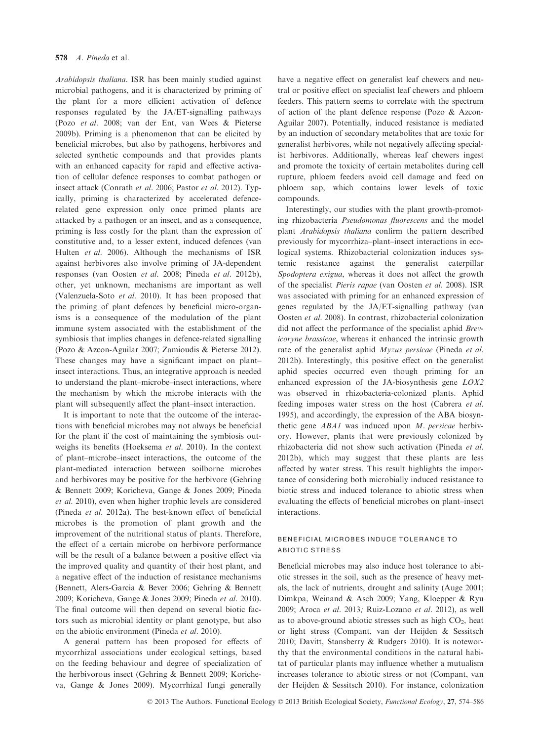Arabidopsis thaliana. ISR has been mainly studied against microbial pathogens, and it is characterized by priming of the plant for a more efficient activation of defence responses regulated by the JA/ET-signalling pathways (Pozo et al. 2008; van der Ent, van Wees & Pieterse 2009b). Priming is a phenomenon that can be elicited by beneficial microbes, but also by pathogens, herbivores and selected synthetic compounds and that provides plants with an enhanced capacity for rapid and effective activation of cellular defence responses to combat pathogen or insect attack (Conrath et al. 2006; Pastor et al. 2012). Typically, priming is characterized by accelerated defencerelated gene expression only once primed plants are attacked by a pathogen or an insect, and as a consequence, priming is less costly for the plant than the expression of constitutive and, to a lesser extent, induced defences (van Hulten et al. 2006). Although the mechanisms of ISR against herbivores also involve priming of JA-dependent responses (van Oosten et al. 2008; Pineda et al. 2012b), other, yet unknown, mechanisms are important as well (Valenzuela-Soto et al. 2010). It has been proposed that the priming of plant defences by beneficial micro-organisms is a consequence of the modulation of the plant immune system associated with the establishment of the symbiosis that implies changes in defence-related signalling (Pozo & Azcon-Aguilar 2007; Zamioudis & Pieterse 2012). These changes may have a significant impact on plant– insect interactions. Thus, an integrative approach is needed to understand the plant–microbe–insect interactions, where the mechanism by which the microbe interacts with the plant will subsequently affect the plant–insect interaction.

It is important to note that the outcome of the interactions with beneficial microbes may not always be beneficial for the plant if the cost of maintaining the symbiosis outweighs its benefits (Hoeksema et al. 2010). In the context of plant–microbe–insect interactions, the outcome of the plant-mediated interaction between soilborne microbes and herbivores may be positive for the herbivore (Gehring & Bennett 2009; Koricheva, Gange & Jones 2009; Pineda et al. 2010), even when higher trophic levels are considered (Pineda et al. 2012a). The best-known effect of beneficial microbes is the promotion of plant growth and the improvement of the nutritional status of plants. Therefore, the effect of a certain microbe on herbivore performance will be the result of a balance between a positive effect via the improved quality and quantity of their host plant, and a negative effect of the induction of resistance mechanisms (Bennett, Alers-Garcia & Bever 2006; Gehring & Bennett 2009; Koricheva, Gange & Jones 2009; Pineda et al. 2010). The final outcome will then depend on several biotic factors such as microbial identity or plant genotype, but also on the abiotic environment (Pineda et al. 2010).

A general pattern has been proposed for effects of mycorrhizal associations under ecological settings, based on the feeding behaviour and degree of specialization of the herbivorous insect (Gehring & Bennett 2009; Koricheva, Gange & Jones 2009). Mycorrhizal fungi generally

have a negative effect on generalist leaf chewers and neutral or positive effect on specialist leaf chewers and phloem feeders. This pattern seems to correlate with the spectrum of action of the plant defence response (Pozo & Azcon-Aguilar 2007). Potentially, induced resistance is mediated by an induction of secondary metabolites that are toxic for generalist herbivores, while not negatively affecting specialist herbivores. Additionally, whereas leaf chewers ingest and promote the toxicity of certain metabolites during cell rupture, phloem feeders avoid cell damage and feed on phloem sap, which contains lower levels of toxic compounds.

Interestingly, our studies with the plant growth-promoting rhizobacteria Pseudomonas fluorescens and the model plant Arabidopsis thaliana confirm the pattern described previously for mycorrhiza–plant–insect interactions in ecological systems. Rhizobacterial colonization induces systemic resistance against the generalist caterpillar Spodoptera exigua, whereas it does not affect the growth of the specialist Pieris rapae (van Oosten et al. 2008). ISR was associated with priming for an enhanced expression of genes regulated by the JA/ET-signalling pathway (van Oosten et al. 2008). In contrast, rhizobacterial colonization did not affect the performance of the specialist aphid Brevicoryne brassicae, whereas it enhanced the intrinsic growth rate of the generalist aphid Myzus persicae (Pineda et al. 2012b). Interestingly, this positive effect on the generalist aphid species occurred even though priming for an enhanced expression of the JA-biosynthesis gene LOX2 was observed in rhizobacteria-colonized plants. Aphid feeding imposes water stress on the host (Cabrera et al. 1995), and accordingly, the expression of the ABA biosynthetic gene ABA1 was induced upon M. persicae herbivory. However, plants that were previously colonized by rhizobacteria did not show such activation (Pineda et al. 2012b), which may suggest that these plants are less affected by water stress. This result highlights the importance of considering both microbially induced resistance to biotic stress and induced tolerance to abiotic stress when evaluating the effects of beneficial microbes on plant–insect interactions.

#### BENEFICIAL MICROBES INDUCE TOLERANCE TO ABIOTIC STRESS

Beneficial microbes may also induce host tolerance to abiotic stresses in the soil, such as the presence of heavy metals, the lack of nutrients, drought and salinity (Auge 2001; Dimkpa, Weinand & Asch 2009; Yang, Kloepper & Ryu 2009; Aroca et al. 2013; Ruiz-Lozano et al. 2012), as well as to above-ground abiotic stresses such as high  $CO<sub>2</sub>$ , heat or light stress (Compant, van der Heijden & Sessitsch 2010; Davitt, Stansberry & Rudgers 2010). It is noteworthy that the environmental conditions in the natural habitat of particular plants may influence whether a mutualism increases tolerance to abiotic stress or not (Compant, van der Heijden & Sessitsch 2010). For instance, colonization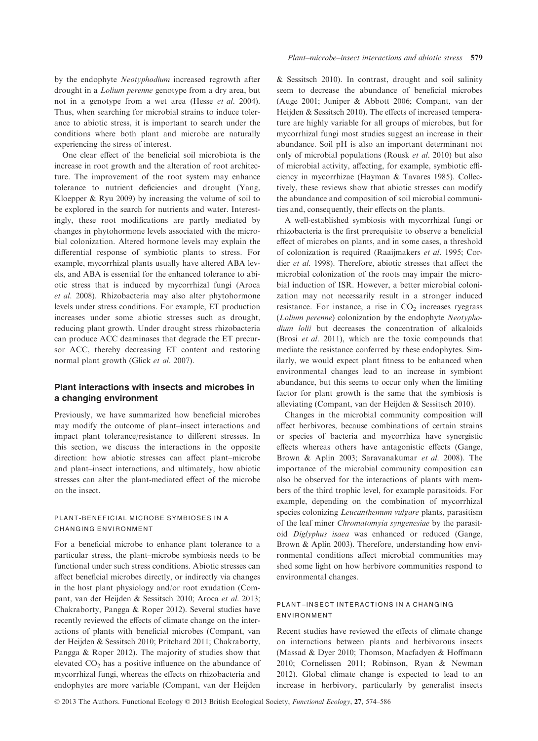by the endophyte Neotyphodium increased regrowth after drought in a Lolium perenne genotype from a dry area, but not in a genotype from a wet area (Hesse et al. 2004). Thus, when searching for microbial strains to induce tolerance to abiotic stress, it is important to search under the conditions where both plant and microbe are naturally experiencing the stress of interest.

One clear effect of the beneficial soil microbiota is the increase in root growth and the alteration of root architecture. The improvement of the root system may enhance tolerance to nutrient deficiencies and drought (Yang, Kloepper & Ryu 2009) by increasing the volume of soil to be explored in the search for nutrients and water. Interestingly, these root modifications are partly mediated by changes in phytohormone levels associated with the microbial colonization. Altered hormone levels may explain the differential response of symbiotic plants to stress. For example, mycorrhizal plants usually have altered ABA levels, and ABA is essential for the enhanced tolerance to abiotic stress that is induced by mycorrhizal fungi (Aroca et al. 2008). Rhizobacteria may also alter phytohormone levels under stress conditions. For example, ET production increases under some abiotic stresses such as drought, reducing plant growth. Under drought stress rhizobacteria can produce ACC deaminases that degrade the ET precursor ACC, thereby decreasing ET content and restoring normal plant growth (Glick et al. 2007).

#### Plant interactions with insects and microbes in a changing environment

Previously, we have summarized how beneficial microbes may modify the outcome of plant–insect interactions and impact plant tolerance/resistance to different stresses. In this section, we discuss the interactions in the opposite direction: how abiotic stresses can affect plant–microbe and plant–insect interactions, and ultimately, how abiotic stresses can alter the plant-mediated effect of the microbe on the insect.

#### PLANT-BENEFICIAL MICROBE SYMBIOSES IN A CHANGING ENVIRONMENT

For a beneficial microbe to enhance plant tolerance to a particular stress, the plant–microbe symbiosis needs to be functional under such stress conditions. Abiotic stresses can affect beneficial microbes directly, or indirectly via changes in the host plant physiology and/or root exudation (Compant, van der Heijden & Sessitsch 2010; Aroca et al. 2013; Chakraborty, Pangga & Roper 2012). Several studies have recently reviewed the effects of climate change on the interactions of plants with beneficial microbes (Compant, van der Heijden & Sessitsch 2010; Pritchard 2011; Chakraborty, Pangga & Roper 2012). The majority of studies show that elevated  $CO<sub>2</sub>$  has a positive influence on the abundance of mycorrhizal fungi, whereas the effects on rhizobacteria and endophytes are more variable (Compant, van der Heijden

& Sessitsch 2010). In contrast, drought and soil salinity seem to decrease the abundance of beneficial microbes (Auge 2001; Juniper & Abbott 2006; Compant, van der Heijden & Sessitsch 2010). The effects of increased temperature are highly variable for all groups of microbes, but for mycorrhizal fungi most studies suggest an increase in their abundance. Soil pH is also an important determinant not only of microbial populations (Rousk et al. 2010) but also of microbial activity, affecting, for example, symbiotic efficiency in mycorrhizae (Hayman & Tavares 1985). Collectively, these reviews show that abiotic stresses can modify the abundance and composition of soil microbial communities and, consequently, their effects on the plants.

A well-established symbiosis with mycorrhizal fungi or rhizobacteria is the first prerequisite to observe a beneficial effect of microbes on plants, and in some cases, a threshold of colonization is required (Raaijmakers et al. 1995; Cordier et al. 1998). Therefore, abiotic stresses that affect the microbial colonization of the roots may impair the microbial induction of ISR. However, a better microbial colonization may not necessarily result in a stronger induced resistance. For instance, a rise in  $CO<sub>2</sub>$  increases ryegrass (Lolium perenne) colonization by the endophyte Neotyphodium lolii but decreases the concentration of alkaloids (Brosi et al. 2011), which are the toxic compounds that mediate the resistance conferred by these endophytes. Similarly, we would expect plant fitness to be enhanced when environmental changes lead to an increase in symbiont abundance, but this seems to occur only when the limiting factor for plant growth is the same that the symbiosis is alleviating (Compant, van der Heijden & Sessitsch 2010).

Changes in the microbial community composition will affect herbivores, because combinations of certain strains or species of bacteria and mycorrhiza have synergistic effects whereas others have antagonistic effects (Gange, Brown & Aplin 2003; Saravanakumar et al. 2008). The importance of the microbial community composition can also be observed for the interactions of plants with members of the third trophic level, for example parasitoids. For example, depending on the combination of mycorrhizal species colonizing Leucanthemum vulgare plants, parasitism of the leaf miner Chromatomyia syngenesiae by the parasitoid Diglyphus isaea was enhanced or reduced (Gange, Brown & Aplin 2003). Therefore, understanding how environmental conditions affect microbial communities may shed some light on how herbivore communities respond to environmental changes.

#### PLANT – INSECT INTERACTIONS IN A CHANGING ENVIRONMENT

Recent studies have reviewed the effects of climate change on interactions between plants and herbivorous insects (Massad & Dyer 2010; Thomson, Macfadyen & Hoffmann 2010; Cornelissen 2011; Robinson, Ryan & Newman 2012). Global climate change is expected to lead to an increase in herbivory, particularly by generalist insects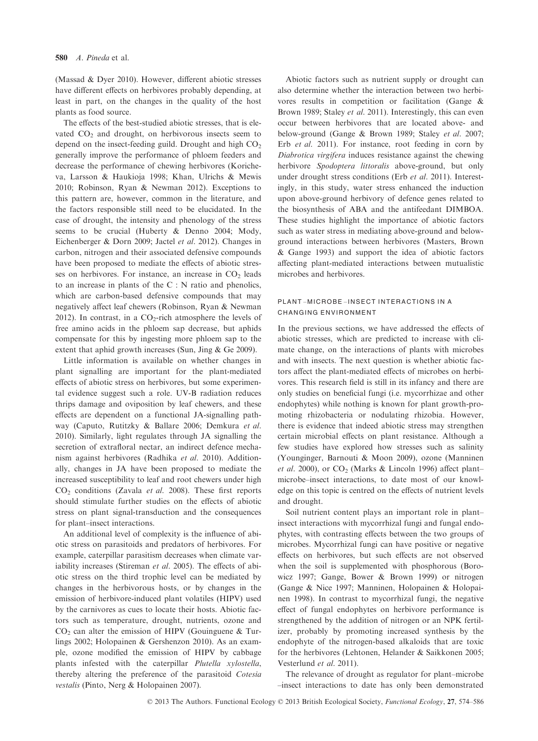(Massad & Dyer 2010). However, different abiotic stresses have different effects on herbivores probably depending, at least in part, on the changes in the quality of the host plants as food source.

The effects of the best-studied abiotic stresses, that is elevated  $CO<sub>2</sub>$  and drought, on herbivorous insects seem to depend on the insect-feeding guild. Drought and high  $CO<sub>2</sub>$ generally improve the performance of phloem feeders and decrease the performance of chewing herbivores (Koricheva, Larsson & Haukioja 1998; Khan, Ulrichs & Mewis 2010; Robinson, Ryan & Newman 2012). Exceptions to this pattern are, however, common in the literature, and the factors responsible still need to be elucidated. In the case of drought, the intensity and phenology of the stress seems to be crucial (Huberty & Denno 2004; Mody, Eichenberger & Dorn 2009; Jactel et al. 2012). Changes in carbon, nitrogen and their associated defensive compounds have been proposed to mediate the effects of abiotic stresses on herbivores. For instance, an increase in  $CO<sub>2</sub>$  leads to an increase in plants of the C : N ratio and phenolics, which are carbon-based defensive compounds that may negatively affect leaf chewers (Robinson, Ryan & Newman 2012). In contrast, in a  $CO_2$ -rich atmosphere the levels of free amino acids in the phloem sap decrease, but aphids compensate for this by ingesting more phloem sap to the extent that aphid growth increases (Sun, Jing & Ge 2009).

Little information is available on whether changes in plant signalling are important for the plant-mediated effects of abiotic stress on herbivores, but some experimental evidence suggest such a role. UV-B radiation reduces thrips damage and oviposition by leaf chewers, and these effects are dependent on a functional JA-signalling pathway (Caputo, Rutitzky & Ballare 2006; Demkura et al. 2010). Similarly, light regulates through JA signalling the secretion of extrafloral nectar, an indirect defence mechanism against herbivores (Radhika et al. 2010). Additionally, changes in JA have been proposed to mediate the increased susceptibility to leaf and root chewers under high  $CO<sub>2</sub>$  conditions (Zavala *et al.* 2008). These first reports should stimulate further studies on the effects of abiotic stress on plant signal-transduction and the consequences for plant–insect interactions.

An additional level of complexity is the influence of abiotic stress on parasitoids and predators of herbivores. For example, caterpillar parasitism decreases when climate variability increases (Stireman et al. 2005). The effects of abiotic stress on the third trophic level can be mediated by changes in the herbivorous hosts, or by changes in the emission of herbivore-induced plant volatiles (HIPV) used by the carnivores as cues to locate their hosts. Abiotic factors such as temperature, drought, nutrients, ozone and  $CO<sub>2</sub>$  can alter the emission of HIPV (Gouinguene & Turlings 2002; Holopainen & Gershenzon 2010). As an example, ozone modified the emission of HIPV by cabbage plants infested with the caterpillar Plutella xylostella, thereby altering the preference of the parasitoid Cotesia vestalis (Pinto, Nerg & Holopainen 2007).

Abiotic factors such as nutrient supply or drought can also determine whether the interaction between two herbivores results in competition or facilitation (Gange & Brown 1989; Staley et al. 2011). Interestingly, this can even occur between herbivores that are located above- and below-ground (Gange & Brown 1989; Staley et al. 2007; Erb et al. 2011). For instance, root feeding in corn by Diabrotica virgifera induces resistance against the chewing herbivore Spodoptera littoralis above-ground, but only under drought stress conditions (Erb et al. 2011). Interestingly, in this study, water stress enhanced the induction upon above-ground herbivory of defence genes related to the biosynthesis of ABA and the antifeedant DIMBOA. These studies highlight the importance of abiotic factors such as water stress in mediating above-ground and belowground interactions between herbivores (Masters, Brown & Gange 1993) and support the idea of abiotic factors affecting plant-mediated interactions between mutualistic microbes and herbivores.

#### PLANT – MICROBE – INSECT INTERACTIONS IN A CHANGING ENVIRONMENT

In the previous sections, we have addressed the effects of abiotic stresses, which are predicted to increase with climate change, on the interactions of plants with microbes and with insects. The next question is whether abiotic factors affect the plant-mediated effects of microbes on herbivores. This research field is still in its infancy and there are only studies on beneficial fungi (i.e. mycorrhizae and other endophytes) while nothing is known for plant growth-promoting rhizobacteria or nodulating rhizobia. However, there is evidence that indeed abiotic stress may strengthen certain microbial effects on plant resistance. Although a few studies have explored how stresses such as salinity (Younginger, Barnouti & Moon 2009), ozone (Manninen et al. 2000), or  $CO<sub>2</sub>$  (Marks & Lincoln 1996) affect plant– microbe–insect interactions, to date most of our knowledge on this topic is centred on the effects of nutrient levels and drought.

Soil nutrient content plays an important role in plant– insect interactions with mycorrhizal fungi and fungal endophytes, with contrasting effects between the two groups of microbes. Mycorrhizal fungi can have positive or negative effects on herbivores, but such effects are not observed when the soil is supplemented with phosphorous (Borowicz 1997; Gange, Bower & Brown 1999) or nitrogen (Gange & Nice 1997; Manninen, Holopainen & Holopainen 1998). In contrast to mycorrhizal fungi, the negative effect of fungal endophytes on herbivore performance is strengthened by the addition of nitrogen or an NPK fertilizer, probably by promoting increased synthesis by the endophyte of the nitrogen-based alkaloids that are toxic for the herbivores (Lehtonen, Helander & Saikkonen 2005; Vesterlund et al. 2011).

The relevance of drought as regulator for plant–microbe –insect interactions to date has only been demonstrated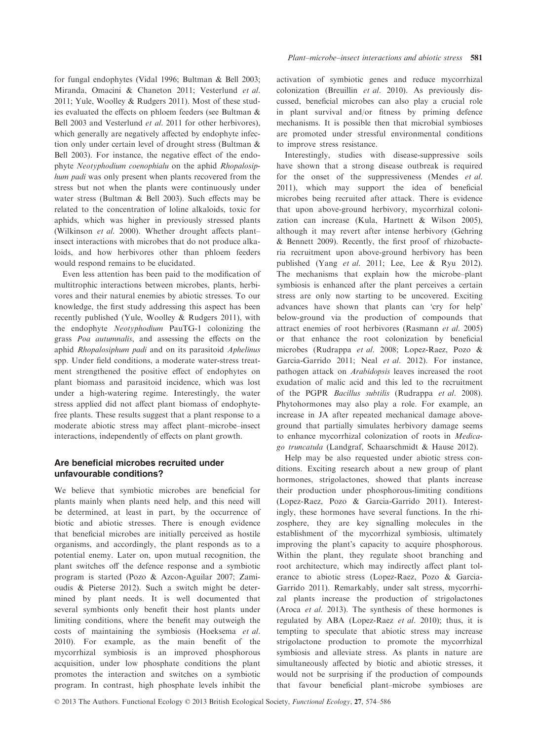for fungal endophytes (Vidal 1996; Bultman & Bell 2003; Miranda, Omacini & Chaneton 2011; Vesterlund et al. 2011; Yule, Woolley & Rudgers 2011). Most of these studies evaluated the effects on phloem feeders (see Bultman & Bell 2003 and Vesterlund *et al.* 2011 for other herbivores), which generally are negatively affected by endophyte infection only under certain level of drought stress (Bultman & Bell 2003). For instance, the negative effect of the endophyte Neotyphodium coenophialu on the aphid Rhopalosiphum padi was only present when plants recovered from the stress but not when the plants were continuously under water stress (Bultman & Bell 2003). Such effects may be related to the concentration of loline alkaloids, toxic for aphids, which was higher in previously stressed plants (Wilkinson et al. 2000). Whether drought affects plantinsect interactions with microbes that do not produce alkaloids, and how herbivores other than phloem feeders would respond remains to be elucidated.

Even less attention has been paid to the modification of multitrophic interactions between microbes, plants, herbivores and their natural enemies by abiotic stresses. To our knowledge, the first study addressing this aspect has been recently published (Yule, Woolley & Rudgers 2011), with the endophyte Neotyphodium PauTG-1 colonizing the grass Poa autumnalis, and assessing the effects on the aphid Rhopalosiphum padi and on its parasitoid Aphelinus spp. Under field conditions, a moderate water-stress treatment strengthened the positive effect of endophytes on plant biomass and parasitoid incidence, which was lost under a high-watering regime. Interestingly, the water stress applied did not affect plant biomass of endophytefree plants. These results suggest that a plant response to a moderate abiotic stress may affect plant–microbe–insect interactions, independently of effects on plant growth.

# Are beneficial microbes recruited under unfavourable conditions?

We believe that symbiotic microbes are beneficial for plants mainly when plants need help, and this need will be determined, at least in part, by the occurrence of biotic and abiotic stresses. There is enough evidence that beneficial microbes are initially perceived as hostile organisms, and accordingly, the plant responds as to a potential enemy. Later on, upon mutual recognition, the plant switches off the defence response and a symbiotic program is started (Pozo & Azcon-Aguilar 2007; Zamioudis & Pieterse 2012). Such a switch might be determined by plant needs. It is well documented that several symbionts only benefit their host plants under limiting conditions, where the benefit may outweigh the costs of maintaining the symbiosis (Hoeksema et al. 2010). For example, as the main benefit of the mycorrhizal symbiosis is an improved phosphorous acquisition, under low phosphate conditions the plant promotes the interaction and switches on a symbiotic program. In contrast, high phosphate levels inhibit the

activation of symbiotic genes and reduce mycorrhizal colonization (Breuillin et al. 2010). As previously discussed, beneficial microbes can also play a crucial role in plant survival and/or fitness by priming defence mechanisms. It is possible then that microbial symbioses are promoted under stressful environmental conditions to improve stress resistance.

Interestingly, studies with disease-suppressive soils have shown that a strong disease outbreak is required for the onset of the suppressiveness (Mendes *et al.*) 2011), which may support the idea of beneficial microbes being recruited after attack. There is evidence that upon above-ground herbivory, mycorrhizal colonization can increase (Kula, Hartnett & Wilson 2005), although it may revert after intense herbivory (Gehring & Bennett 2009). Recently, the first proof of rhizobacteria recruitment upon above-ground herbivory has been published (Yang et al. 2011; Lee, Lee & Ryu 2012). The mechanisms that explain how the microbe–plant symbiosis is enhanced after the plant perceives a certain stress are only now starting to be uncovered. Exciting advances have shown that plants can 'cry for help' below-ground via the production of compounds that attract enemies of root herbivores (Rasmann et al. 2005) or that enhance the root colonization by beneficial microbes (Rudrappa et al. 2008; Lopez-Raez, Pozo & Garcia-Garrido 2011; Neal et al. 2012). For instance, pathogen attack on Arabidopsis leaves increased the root exudation of malic acid and this led to the recruitment of the PGPR Bacillus subtilis (Rudrappa et al. 2008). Phytohormones may also play a role. For example, an increase in JA after repeated mechanical damage aboveground that partially simulates herbivory damage seems to enhance mycorrhizal colonization of roots in Medicago truncatula (Landgraf, Schaarschmidt & Hause 2012).

Help may be also requested under abiotic stress conditions. Exciting research about a new group of plant hormones, strigolactones, showed that plants increase their production under phosphorous-limiting conditions (Lopez-Raez, Pozo & Garcia-Garrido 2011). Interestingly, these hormones have several functions. In the rhizosphere, they are key signalling molecules in the establishment of the mycorrhizal symbiosis, ultimately improving the plant's capacity to acquire phosphorous. Within the plant, they regulate shoot branching and root architecture, which may indirectly affect plant tolerance to abiotic stress (Lopez-Raez, Pozo & Garcia-Garrido 2011). Remarkably, under salt stress, mycorrhizal plants increase the production of strigolactones (Aroca et al. 2013). The synthesis of these hormones is regulated by ABA (Lopez-Raez et al. 2010); thus, it is tempting to speculate that abiotic stress may increase strigolactone production to promote the mycorrhizal symbiosis and alleviate stress. As plants in nature are simultaneously affected by biotic and abiotic stresses, it would not be surprising if the production of compounds that favour beneficial plant–microbe symbioses are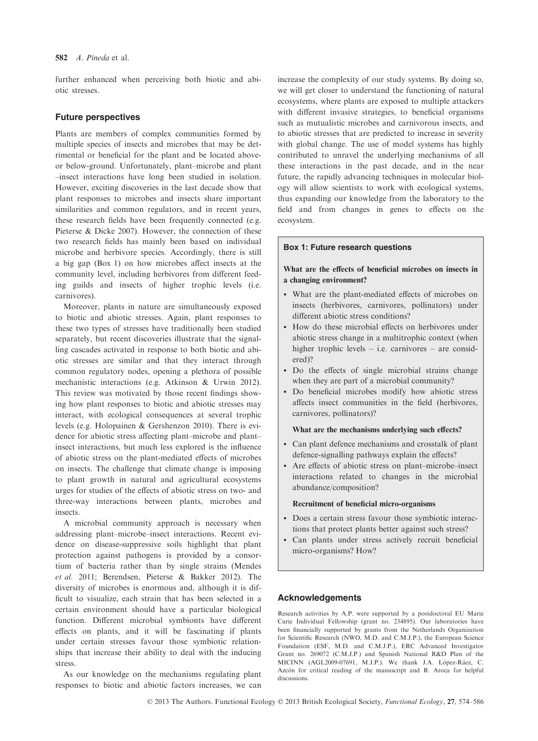further enhanced when perceiving both biotic and abiotic stresses.

#### Future perspectives

Plants are members of complex communities formed by multiple species of insects and microbes that may be detrimental or beneficial for the plant and be located aboveor below-ground. Unfortunately, plant–microbe and plant –insect interactions have long been studied in isolation. However, exciting discoveries in the last decade show that plant responses to microbes and insects share important similarities and common regulators, and in recent years, these research fields have been frequently connected (e.g. Pieterse & Dicke 2007). However, the connection of these two research fields has mainly been based on individual microbe and herbivore species. Accordingly, there is still a big gap (Box 1) on how microbes affect insects at the community level, including herbivores from different feeding guilds and insects of higher trophic levels (i.e. carnivores).

Moreover, plants in nature are simultaneously exposed to biotic and abiotic stresses. Again, plant responses to these two types of stresses have traditionally been studied separately, but recent discoveries illustrate that the signalling cascades activated in response to both biotic and abiotic stresses are similar and that they interact through common regulatory nodes, opening a plethora of possible mechanistic interactions (e.g. Atkinson & Urwin 2012). This review was motivated by those recent findings showing how plant responses to biotic and abiotic stresses may interact, with ecological consequences at several trophic levels (e.g. Holopainen & Gershenzon 2010). There is evidence for abiotic stress affecting plant–microbe and plant– insect interactions, but much less explored is the influence of abiotic stress on the plant-mediated effects of microbes on insects. The challenge that climate change is imposing to plant growth in natural and agricultural ecosystems urges for studies of the effects of abiotic stress on two- and three-way interactions between plants, microbes and insects.

A microbial community approach is necessary when addressing plant–microbe–insect interactions. Recent evidence on disease-suppressive soils highlight that plant protection against pathogens is provided by a consortium of bacteria rather than by single strains (Mendes et al. 2011; Berendsen, Pieterse & Bakker 2012). The diversity of microbes is enormous and, although it is difficult to visualize, each strain that has been selected in a certain environment should have a particular biological function. Different microbial symbionts have different effects on plants, and it will be fascinating if plants under certain stresses favour those symbiotic relationships that increase their ability to deal with the inducing stress.

As our knowledge on the mechanisms regulating plant responses to biotic and abiotic factors increases, we can increase the complexity of our study systems. By doing so, we will get closer to understand the functioning of natural ecosystems, where plants are exposed to multiple attackers with different invasive strategies, to beneficial organisms such as mutualistic microbes and carnivorous insects, and to abiotic stresses that are predicted to increase in severity with global change. The use of model systems has highly contributed to unravel the underlying mechanisms of all these interactions in the past decade, and in the near future, the rapidly advancing techniques in molecular biology will allow scientists to work with ecological systems, thus expanding our knowledge from the laboratory to the field and from changes in genes to effects on the ecosystem.

#### Box 1: Future research questions

## What are the effects of beneficial microbes on insects in a changing environment?

- What are the plant-mediated effects of microbes on insects (herbivores, carnivores, pollinators) under different abiotic stress conditions?
- How do these microbial effects on herbivores under abiotic stress change in a multitrophic context (when higher trophic levels – i.e. carnivores – are considered)?
- Do the effects of single microbial strains change when they are part of a microbial community?
- Do beneficial microbes modify how abiotic stress affects insect communities in the field (herbivores, carnivores, pollinators)?

#### What are the mechanisms underlying such effects?

- Can plant defence mechanisms and crosstalk of plant defence-signalling pathways explain the effects?
- Are effects of abiotic stress on plant–microbe–insect interactions related to changes in the microbial abundance/composition?

#### Recruitment of beneficial micro-organisms

- Does a certain stress favour those symbiotic interactions that protect plants better against such stress?
- Can plants under stress actively recruit beneficial micro-organisms? How?

#### Acknowledgements

Research activities by A.P. were supported by a postdoctoral EU Marie Curie Individual Fellowship (grant no. 234895). Our laboratories have been financially supported by grants from the Netherlands Organization for Scientific Research (NWO, M.D. and C.M.J.P.), the European Science Foundation (ESF, M.D. and C.M.J.P.), ERC Advanced Investigator Grant no. 269072 (C.M.J.P.) and Spanish National R&D Plan of the MICINN (AGL2009-07691, M.J.P.). We thank J.A. López-Ráez, C. Azcón for critical reading of the manuscript and R. Aroca for helpful discussions.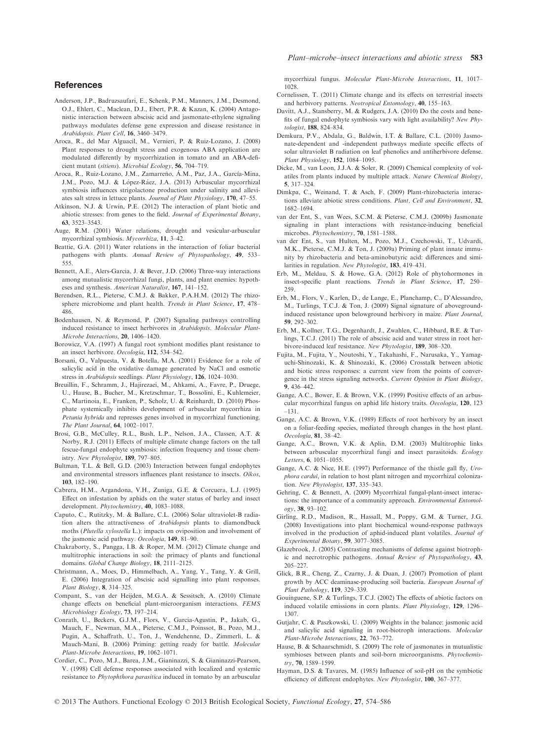#### **References**

- Anderson, J.P., Badruzsaufari, E., Schenk, P.M., Manners, J.M., Desmond, O.J., Ehlert, C., Maclean, D.J., Ebert, P.R. & Kazan, K. (2004) Antagonistic interaction between abscisic acid and jasmonate-ethylene signaling pathways modulates defense gene expression and disease resistance in Arabidopsis. Plant Cell, 16, 3460–3479.
- Aroca, R., del Mar Alguacil, M., Vernieri, P. & Ruiz-Lozano, J. (2008) Plant responses to drought stress and exogenous ABA application are modulated differently by mycorrhization in tomato and an ABA-deficient mutant (sitiens). Microbial Ecology, 56, 704–719.
- Aroca, R., Ruiz-Lozano, J.M., Zamarreño, Á.M., Paz, J.A., García-Mina, J.M., Pozo, M.J. & López-Ráez, J.A. (2013) Arbuscular mycorrhizal symbiosis influences strigolactone production under salinity and alleviates salt stress in lettuce plants. Journal of Plant Physiology, 170, 47–55.
- Atkinson, N.J. & Urwin, P.E. (2012) The interaction of plant biotic and abiotic stresses: from genes to the field. Journal of Experimental Botany, 63, 3523–3543.
- Auge, R.M. (2001) Water relations, drought and vesicular-arbuscular mycorrhizal symbiosis. Mycorrhiza, 11, 3–42.
- Beattie, G.A. (2011) Water relations in the interaction of foliar bacterial pathogens with plants. Annual Review of Phytopathology, 49, 533– 555.
- Bennett, A.E., Alers-Garcia, J. & Bever, J.D. (2006) Three-way interactions among mutualistic mycorrhizal fungi, plants, and plant enemies: hypotheses and synthesis. American Naturalist, 167, 141–152.
- Berendsen, R.L., Pieterse, C.M.J. & Bakker, P.A.H.M. (2012) The rhizosphere microbiome and plant health. Trends in Plant Science, 17, 478– 486.
- Bodenhausen, N. & Reymond, P. (2007) Signaling pathways controlling induced resistance to insect herbivores in Arabidopsis. Molecular Plant-Microbe Interactions, 20, 1406–1420.
- Borowicz, V.A. (1997) A fungal root symbiont modifies plant resistance to an insect herbivore. Oecologia, 112, 534–542.
- Borsani, O., Valpuesta, V. & Botella, M.A. (2001) Evidence for a role of salicylic acid in the oxidative damage generated by NaCl and osmotic stress in Arabidopsis seedlings. Plant Physiology, 126, 1024–1030.
- Breuillin, F., Schramm, J., Hajirezaei, M., Ahkami, A., Favre, P., Druege, U., Hause, B., Bucher, M., Kretzschmar, T., Bossolini, E., Kuhlemeier, C., Martinoia, E., Franken, P., Scholz, U. & Reinhardt, D. (2010) Phosphate systemically inhibits development of arbuscular mycorrhiza in Petunia hybrida and represses genes involved in mycorrhizal functioning. The Plant Journal, 64, 1002–1017.
- Brosi, G.B., McCulley, R.L., Bush, L.P., Nelson, J.A., Classen, A.T. & Norby, R.J. (2011) Effects of multiple climate change factors on the tall fescue-fungal endophyte symbiosis: infection frequency and tissue chemistry. New Phytologist, 189, 797–805.
- Bultman, T.L. & Bell, G.D. (2003) Interaction between fungal endophytes and environmental stressors influences plant resistance to insects. Oikos, 103, 182–190.
- Cabrera, H.M., Argandona, V.H., Zuniga, G.E. & Corcuera, L.J. (1995) Effect on infestation by aphids on the water status of barley and insect development. Phytochemistry, 40, 1083–1088.
- Caputo, C., Rutitzky, M. & Ballare, C.L. (2006) Solar ultraviolet-B radiation alters the attractiveness of Arabidopsis plants to diamondback moths (Plutella xylostella L.): impacts on oviposition and involvement of the jasmonic acid pathway. Oecologia, 149, 81–90.
- Chakraborty, S., Pangga, I.B. & Roper, M.M. (2012) Climate change and multitrophic interactions in soil: the primacy of plants and functional domains. Global Change Biology, 18, 2111–2125.
- Christmann, A., Moes, D., Himmelbach, A., Yang, Y., Tang, Y. & Grill, E. (2006) Integration of abscisic acid signalling into plant responses. Plant Biology, 8, 314–325.
- Compant, S., van der Heijden, M.G.A. & Sessitsch, A. (2010) Climate change effects on beneficial plant-microorganism interactions. FEMS Microbiology Ecology, 73, 197–214.
- Conrath, U., Beckers, G.J.M., Flors, V., Garcia-Agustin, P., Jakab, G., Mauch, F., Newman, M.A., Pieterse, C.M.J., Poinssot, B., Pozo, M.J., Pugin, A., Schaffrath, U., Ton, J., Wendehenne, D., Zimmerli, L. & Mauch-Mani, B. (2006) Priming: getting ready for battle. Molecular Plant-Microbe Interactions, 19, 1062–1071.
- Cordier, C., Pozo, M.J., Barea, J.M., Gianinazzi, S. & Gianinazzi-Pearson, V. (1998) Cell defense responses associated with localized and systemic resistance to Phytophthora parasitica induced in tomato by an arbuscular

mycorrhizal fungus. Molecular Plant-Microbe Interactions, 11, 1017– 1028.

- Cornelissen, T. (2011) Climate change and its effects on terrestrial insects and herbivory patterns. Neotropical Entomology, 40, 155–163.
- Davitt, A.J., Stansberry, M. & Rudgers, J.A. (2010) Do the costs and benefits of fungal endophyte symbiosis vary with light availability? New Phytologist, 188, 824–834.
- Demkura, P.V., Abdala, G., Baldwin, I.T. & Ballare, C.L. (2010) Jasmonate-dependent and -independent pathways mediate specific effects of solar ultraviolet B radiation on leaf phenolics and antiherbivore defense. Plant Physiology, 152, 1084–1095.
- Dicke, M., van Loon, J.J.A. & Soler, R. (2009) Chemical complexity of volatiles from plants induced by multiple attack. Nature Chemical Biology, 5, 317–324.
- Dimkpa, C., Weinand, T. & Asch, F. (2009) Plant-rhizobacteria interactions alleviate abiotic stress conditions. Plant, Cell and Environment, 32, 1682–1694.
- van der Ent, S., van Wees, S.C.M. & Pieterse, C.M.J. (2009b) Jasmonate signaling in plant interactions with resistance-inducing beneficial microbes. Phytochemistry, 70, 1581–1588.
- van der Ent, S., van Hulten, M., Pozo, M.J., Czechowski, T., Udvardi, M.K., Pieterse, C.M.J. & Ton, J. (2009a) Priming of plant innate immunity by rhizobacteria and beta-aminobutyric acid: differences and similarities in regulation. New Phytologist, 183, 419–431.
- Erb, M., Meldau, S. & Howe, G.A. (2012) Role of phytohormones in insect-specific plant reactions. Trends in Plant Science, 17, 250– 259.
- Erb, M., Flors, V., Karlen, D., de Lange, E., Planchamp, C., D'Alessandro, M., Turlings, T.C.J. & Ton, J. (2009) Signal signature of abovegroundinduced resistance upon belowground herbivory in maize. Plant Journal, 59, 292–302.
- Erb, M., Kollner, T.G., Degenhardt, J., Zwahlen, C., Hibbard, B.E. & Turlings, T.C.J. (2011) The role of abscisic acid and water stress in root herbivore-induced leaf resistance. New Phytologist, 189, 308–320.
- Fujita, M., Fujita, Y., Noutoshi, Y., Takahashi, F., Narusaka, Y., Yamaguchi-Shinozaki, K. & Shinozaki, K. (2006) Crosstalk between abiotic and biotic stress responses: a current view from the points of convergence in the stress signaling networks. Current Opinion in Plant Biology, 9, 436–442.
- Gange, A.C., Bower, E. & Brown, V.K. (1999) Positive effects of an arbuscular mycorrhizal fungus on aphid life history traits. Oecologia, 120, 123 –131.
- Gange, A.C. & Brown, V.K. (1989) Effects of root herbivory by an insect on a foliar-feeding species, mediated through changes in the host plant. Oecologia, 81, 38–42.
- Gange, A.C., Brown, V.K. & Aplin, D.M. (2003) Multitrophic links between arbuscular mycorrhizal fungi and insect parasitoids. Ecology Letters, 6, 1051–1055.
- Gange, A.C. & Nice, H.E. (1997) Performance of the thistle gall fly, Urophora cardui, in relation to host plant nitrogen and mycorrhizal colonization. New Phytologist, 137, 335–343.
- Gehring, C. & Bennett, A. (2009) Mycorrhizal fungal-plant-insect interactions: the importance of a community approach. Environmental Entomology, 38, 93–102.
- Girling, R.D., Madison, R., Hassall, M., Poppy, G.M. & Turner, J.G. (2008) Investigations into plant biochemical wound-response pathways involved in the production of aphid-induced plant volatiles. Journal of Experimental Botany, 59, 3077–3085.
- Glazebrook, J. (2005) Contrasting mechanisms of defense against biotrophic and necrotrophic pathogens. Annual Review of Phytopathology, 43, 205–227.
- Glick, B.R., Cheng, Z., Czarny, J. & Duan, J. (2007) Promotion of plant growth by ACC deaminase-producing soil bacteria. European Journal of Plant Pathology, 119, 329–339.
- Gouinguene, S.P. & Turlings, T.C.J. (2002) The effects of abiotic factors on induced volatile emissions in corn plants. Plant Physiology, 129, 1296– 1307.
- Gutjahr, C. & Paszkowski, U. (2009) Weights in the balance: jasmonic acid and salicylic acid signaling in root-biotroph interactions. Molecular Plant-Microbe Interactions, 22, 763–772.
- Hause, B. & Schaarschmidt, S. (2009) The role of jasmonates in mutualistic symbioses between plants and soil-born microorganisms. Phytochemistry, 70, 1589–1599.
- Hayman, D.S. & Tavares, M. (1985) Influence of soil-pH on the symbiotic efficiency of different endophytes. New Phytologist, 100, 367–377.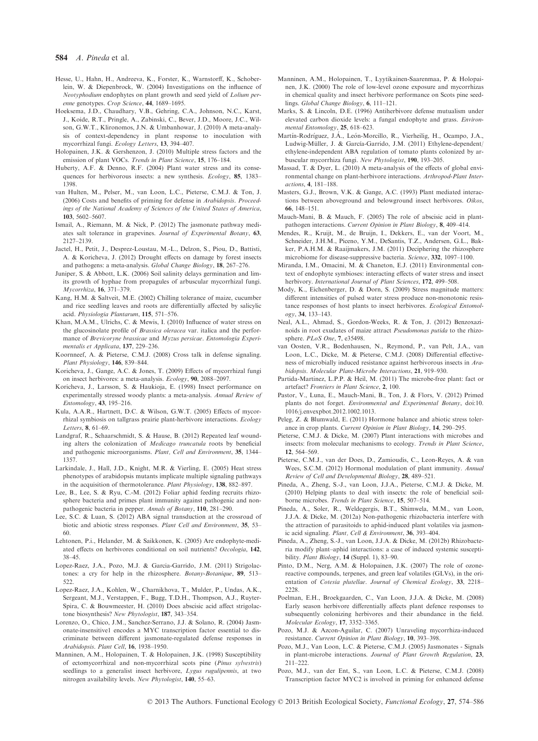- Hesse, U., Hahn, H., Andreeva, K., Forster, K., Warnstorff, K., Schoberlein, W. & Diepenbrock, W. (2004) Investigations on the influence of Neotyphodium endophytes on plant growth and seed yield of Lolium perenne genotypes. Crop Science, 44, 1689–1695.
- Hoeksema, J.D., Chaudhary, V.B., Gehring, C.A., Johnson, N.C., Karst, J., Koide, R.T., Pringle, A., Zabinski, C., Bever, J.D., Moore, J.C., Wilson, G.W.T., Klironomos, J.N. & Umbanhowar, J. (2010) A meta-analysis of context-dependency in plant response to inoculation with mycorrhizal fungi. Ecology Letters, 13, 394–407.
- Holopainen, J.K. & Gershenzon, J. (2010) Multiple stress factors and the emission of plant VOCs. Trends in Plant Science, 15, 176-184.
- Huberty, A.F. & Denno, R.F. (2004) Plant water stress and its consequences for herbivorous insects: a new synthesis. Ecology, 85, 1383– 1398.
- van Hulten, M., Pelser, M., van Loon, L.C., Pieterse, C.M.J. & Ton, J. (2006) Costs and benefits of priming for defense in Arabidopsis. Proceedings of the National Academy of Sciences of the United States of America, 103, 5602–5607.
- Ismail, A., Riemann, M. & Nick, P. (2012) The jasmonate pathway mediates salt tolerance in grapevines. Journal of Experimental Botany, 63, 2127–2139.
- Jactel, H., Petit, J., Desprez-Loustau, M.-L., Delzon, S., Piou, D., Battisti, A. & Koricheva, J. (2012) Drought effects on damage by forest insects and pathogens: a meta-analysis. Global Change Biology, 18, 267–276.
- Juniper, S. & Abbott, L.K. (2006) Soil salinity delays germination and limits growth of hyphae from propagules of arbuscular mycorrhizal fungi. Mycorrhiza, 16, 371–379.
- Kang, H.M. & Saltveit, M.E. (2002) Chilling tolerance of maize, cucumber and rice seedling leaves and roots are differentially affected by salicylic acid. Physiologia Plantarum, 115, 571–576.
- Khan, M.A.M., Ulrichs, C. & Mewis, I. (2010) Influence of water stress on the glucosinolate profile of Brassica oleracea var. italica and the performance of Brevicoryne brassicae and Myzus persicae. Entomologia Experimentalis et Applicata, 137, 229–236.
- Koornneef, A. & Pieterse, C.M.J. (2008) Cross talk in defense signaling. Plant Physiology, 146, 839–844.
- Koricheva, J., Gange, A.C. & Jones, T. (2009) Effects of mycorrhizal fungi on insect herbivores: a meta-analysis. Ecology, 90, 2088–2097.
- Koricheva, J., Larsson, S. & Haukioja, E. (1998) Insect performance on experimentally stressed woody plants: a meta-analysis. Annual Review of Entomology, 43, 195–216.
- Kula, A.A.R., Hartnett, D.C. & Wilson, G.W.T. (2005) Effects of mycorrhizal symbiosis on tallgrass prairie plant-herbivore interactions. Ecology Letters, 8, 61–69.
- Landgraf, R., Schaarschmidt, S. & Hause, B. (2012) Repeated leaf wounding alters the colonization of Medicago truncatula roots by beneficial and pathogenic microorganisms. Plant, Cell and Environment, 35, 1344– 1357.
- Larkindale, J., Hall, J.D., Knight, M.R. & Vierling, E. (2005) Heat stress phenotypes of arabidopsis mutants implicate multiple signaling pathways in the acquisition of thermotolerance. Plant Physiology, 138, 882–897.
- Lee, B., Lee, S. & Ryu, C.-M. (2012) Foliar aphid feeding recruits rhizosphere bacteria and primes plant immunity against pathogenic and nonpathogenic bacteria in pepper. Annals of Botany, 110, 281–290.
- Lee, S.C. & Luan, S. (2012) ABA signal transduction at the crossroad of biotic and abiotic stress responses. Plant Cell and Environment, 35, 53– 60.
- Lehtonen, P.i., Helander, M. & Saikkonen, K. (2005) Are endophyte-mediated effects on herbivores conditional on soil nutrients? Oecologia, 142, 38–45.
- Lopez-Raez, J.A., Pozo, M.J. & Garcia-Garrido, J.M. (2011) Strigolactones: a cry for help in the rhizosphere. Botany-Botanique, 89, 513– 522.
- Lopez-Raez, J.A., Kohlen, W., Charnikhova, T., Mulder, P., Undas, A.K., Sergeant, M.J., Verstappen, F., Bugg, T.D.H., Thompson, A.J., Ruyter-Spira, C. & Bouwmeester, H. (2010) Does abscisic acid affect strigolactone biosynthesis? New Phytologist, 187, 343–354.
- Lorenzo, O., Chico, J.M., Sanchez-Serrano, J.J. & Solano, R. (2004) Jasmonate-insensitive1 encodes a MYC transcription factor essential to discriminate between different jasmonate-regulated defense responses in Arabidopsis. Plant Cell, 16, 1938–1950.
- Manninen, A.M., Holopainen, T. & Holopainen, J.K. (1998) Susceptibility of ectomycorrhizal and non-mycorrhizal scots pine (Pinus sylvestris) seedlings to a generalist insect herbivore, Lygus rugulipennis, at two nitrogen availability levels. New Phytologist, 140, 55–63.
- Manninen, A.M., Holopainen, T., Lyytikainen-Saarenmaa, P. & Holopainen, J.K. (2000) The role of low-level ozone exposure and mycorrhizas in chemical quality and insect herbivore performance on Scots pine seedlings. Global Change Biology, 6, 111–121.
- Marks, S. & Lincoln, D.E. (1996) Antiherbivore defense mutualism under elevated carbon dioxide levels: a fungal endophyte and grass. Environmental Entomology, 25, 618–623.
- Martín-Rodríguez, J.Á., León-Morcillo, R., Vierheilig, H., Ocampo, J.A., Ludwig-Müller, J. & García-Garrido, J.M. (2011) Ethylene-dependent/ ethylene-independent ABA regulation of tomato plants colonized by arbuscular mycorrhiza fungi. New Phytologist, 190, 193–205.
- Massad, T. & Dyer, L. (2010) A meta-analysis of the effects of global environmental change on plant-herbivore interactions. Arthropod-Plant Interactions, 4, 181–188.
- Masters, G.J., Brown, V.K. & Gange, A.C. (1993) Plant mediated interactions between aboveground and belowground insect herbivores. Oikos, 66, 148–151.
- Mauch-Mani, B. & Mauch, F. (2005) The role of abscisic acid in plantpathogen interactions. Current Opinion in Plant Biology, 8, 409–414.
- Mendes, R., Kruijt, M., de Bruijn, I., Dekkers, E., van der Voort, M., Schneider, J.H.M., Piceno, Y.M., DeSantis, T.Z., Andersen, G.L., Bakker, P.A.H.M. & Raaijmakers, J.M. (2011) Deciphering the rhizosphere microbiome for disease-suppressive bacteria. Science, 332, 1097–1100.
- Miranda, I.M., Omacini, M. & Chaneton, E.J. (2011) Environmental context of endophyte symbioses: interacting effects of water stress and insect herbivory. International Journal of Plant Sciences, 172, 499-508.
- Mody, K., Eichenberger, D. & Dorn, S. (2009) Stress magnitude matters: different intensities of pulsed water stress produce non-monotonic resistance responses of host plants to insect herbivores. Ecological Entomology, 34, 133–143.
- Neal, A.L., Ahmad, S., Gordon-Weeks, R. & Ton, J. (2012) Benzoxazinoids in root exudates of maize attract Pseudomonas putida to the rhizosphere. PLoS One, 7, e35498.
- van Oosten, V.R., Bodenhausen, N., Reymond, P., van Pelt, J.A., van Loon, L.C., Dicke, M. & Pieterse, C.M.J. (2008) Differential effectiveness of microbially induced resistance against herbivorous insects in Arabidopsis. Molecular Plant-Microbe Interactions, 21, 919–930.
- Partida-Martinez, L.P.P. & Heil, M. (2011) The microbe-free plant: fact or artefact? Frontiers in Plant Science, 2, 100.
- Pastor, V., Luna, E., Mauch-Mani, B., Ton, J. & Flors, V. (2012) Primed plants do not forget. Environmental and Experimental Botany, doi:10. 1016/j.envexpbot.2012.1002.1013.
- Peleg, Z. & Blumwald, E. (2011) Hormone balance and abiotic stress tolerance in crop plants. Current Opinion in Plant Biology, 14, 290–295.
- Pieterse, C.M.J. & Dicke, M. (2007) Plant interactions with microbes and insects: from molecular mechanisms to ecology. Trends in Plant Science, 12, 564–569.
- Pieterse, C.M.J., van der Does, D., Zamioudis, C., Leon-Reyes, A. & van Wees, S.C.M. (2012) Hormonal modulation of plant immunity. Annual Review of Cell and Developmental Biology, 28, 489–521.
- Pineda, A., Zheng, S.-J., van Loon, J.J.A., Pieterse, C.M.J. & Dicke, M. (2010) Helping plants to deal with insects: the role of beneficial soilborne microbes. Trends in Plant Science, 15, 507-514.
- Pineda, A., Soler, R., Weldegergis, B.T., Shimwela, M.M., van Loon, J.J.A. & Dicke, M. (2012a) Non-pathogenic rhizobacteria interfere with the attraction of parasitoids to aphid-induced plant volatiles via jasmonic acid signaling. Plant, Cell & Environment, 36, 393-404.
- Pineda, A., Zheng, S.-J., van Loon, J.J.A. & Dicke, M. (2012b) Rhizobacteria modify plant–aphid interactions: a case of induced systemic susceptibility. Plant Biology, 14 (Suppl. 1), 83-90.
- Pinto, D.M., Nerg, A.M. & Holopainen, J.K. (2007) The role of ozonereactive compounds, terpenes, and green leaf volatiles (GLVs), in the orientation of Cotesia plutellae. Journal of Chemical Ecology, 33, 2218– 2228
- Poelman, E.H., Broekgaarden, C., Van Loon, J.J.A. & Dicke, M. (2008) Early season herbivore differentially affects plant defence responses to subsequently colonizing herbivores and their abundance in the field. Molecular Ecology, 17, 3352–3365.
- Pozo, M.J. & Azcon-Aguilar, C. (2007) Unraveling mycorrhiza-induced resistance. Current Opinion in Plant Biology, 10, 393–398.
- Pozo, M.J., Van Loon, L.C. & Pieterse, C.M.J. (2005) Jasmonates Signals in plant-microbe interactions. Journal of Plant Growth Regulation, 23, 211–222.
- Pozo, M.J., van der Ent, S., van Loon, L.C. & Pieterse, C.M.J. (2008) Transcription factor MYC2 is involved in priming for enhanced defense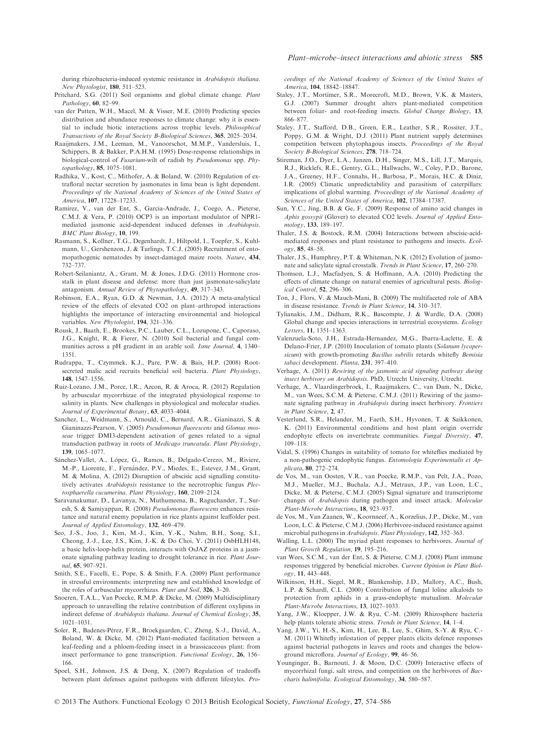- Pritchard, S.G. (2011) Soil organisms and global climate change. Plant Pathology, 60, 82–99.
- van der Putten, W.H., Macel, M. & Visser, M.E. (2010) Predicting species distribution and abundance responses to climate change: why it is essential to include biotic interactions across trophic levels. Philosophical Transactions of the Royal Society B-Biological Sciences, 365, 2025–2034.
- Raaijmakers, J.M., Leeman, M., Vanoorschot, M.M.P., Vandersluis, I., Schippers, B. & Bakker, P.A.H.M. (1995) Dose-response relationships in biological-control of Fusarium-wilt of radish by Pseudomonas spp. Phytopathology, 85, 1075–1081.
- Radhika, V., Kost, C., Mithofer, A. & Boland, W. (2010) Regulation of extrafloral nectar secretion by jasmonates in lima bean is light dependent. Proceedings of the National Academy of Sciences of the United States of America, 107, 17228–17233.
- Ramirez, V., van der Ent, S., Garcia-Andrade, J., Coego, A., Pieterse, C.M.J. & Vera, P. (2010) OCP3 is an important modulator of NPR1 mediated jasmonic acid-dependent induced defenses in Arabidopsis. BMC Plant Biology, 10, 199.
- Rasmann, S., Kollner, T.G., Degenhardt, J., Hiltpold, I., Toepfer, S., Kuhlmann, U., Gershenzon, J. & Turlings, T.C.J. (2005) Recruitment of entomopathogenic nematodes by insect-damaged maize roots. Nature, 434, 732–737.
- Robert-Seilaniantz, A., Grant, M. & Jones, J.D.G. (2011) Hormone crosstalk in plant disease and defense: more than just jasmonate-salicylate antagonism. Annual Review of Phytopathology, 49, 317–343.
- Robinson, E.A., Ryan, G.D. & Newman, J.A. (2012) A meta-analytical review of the effects of elevated CO2 on plant–arthropod interactions highlights the importance of interacting environmental and biological variables. New Phytologist, 194, 321-336.
- Rousk, J., Baath, E., Brookes, P.C., Lauber, C.L., Lozupone, C., Caporaso, J.G., Knight, R. & Fierer, N. (2010) Soil bacterial and fungal communities across a pH gradient in an arable soil. Isme Journal, 4, 1340– 1351.
- Rudrappa, T., Czymmek, K.J., Pare, P.W. & Bais, H.P. (2008) Rootsecreted malic acid recruits beneficial soil bacteria. Plant Physiology, 148, 1547–1556.
- Ruiz-Lozano, J.M., Porce, l.R., Azcon, R. & Aroca, R. (2012) Regulation by arbuscular mycorrhizae of the integrated physiological response to salinity in plants. New challenges in physiological and molecular studies. Journal of Experimental Botany, 63, 4033–4044.
- Sanchez, L., Weidmann, S., Arnould, C., Bernard, A.R., Gianinazzi, S. & Gianinazzi-Pearson, V. (2005) Pseudomonas fluorescens and Glomus mosseae trigger DMI3-dependent activation of genes related to a signal transduction pathway in roots of Medicago truncatula. Plant Physiology, 139, 1065–1077.
- Sánchez-Vallet, A., López, G., Ramos, B., Delgado-Cerezo, M., Riviere, M.-P., Liorente, F., Fernández, P.V., Miedes, E., Estevez, J.M., Grant, M. & Molina, A. (2012) Disruption of abscisic acid signalling constitutively activates Arabidopsis resistance to the necrotrophic fungus Plectosphaerella cucumerina. Plant Physiology, 160, 2109–2124.
- Saravanakumar, D., Lavanya, N., Muthumeena, B., Raguchander, T., Suresh, S. & Samiyappan, R. (2008) Pseudomonas fluorescens enhances resistance and natural enemy population in rice plants against leaffolder pest. Journal of Applied Entomology, 132, 469–479.
- Seo, J.-S., Joo, J., Kim, M.-J., Kim, Y.-K., Nahm, B.H., Song, S.I., Cheong, J.-J., Lee, J.S., Kim, J.-K. & Do Choi, Y. (2011) OsbHLH148, a basic helix-loop-helix protein, interacts with OsJAZ proteins in a jasmonate signaling pathway leading to drought tolerance in rice. Plant Journal, 65, 907–921.
- Smith, S.E., Facelli, E., Pope, S. & Smith, F.A. (2009) Plant performance in stressful environments: interpreting new and established knowledge of the roles of arbuscular mycorrhizas. Plant and Soil, 326, 3-20.
- Snoeren, T.A.L., Van Poecke, R.M.P. & Dicke, M. (2009) Multidisciplinary approach to unravelling the relative contribution of different oxylipins in indirect defense of Arabidopsis thaliana. Journal of Chemical Ecology, 35, 1021–1031.
- Soler, R., Badenes-Pérez, F.R., Broekgaarden, C., Zheng, S.-J., David, A., Boland, W. & Dicke, M. (2012) Plant-mediated facilitation between a leaf-feeding and a phloem-feeding insect in a brassicaceous plant: from insect performance to gene transcription. Functional Ecology, 26, 156– 166.

Spoel, S.H., Johnson, J.S. & Dong, X. (2007) Regulation of tradeoffs between plant defenses against pathogens with different lifestyles. Proceedings of the National Academy of Sciences of the United States of America, 104, 18842–18847.

Plant–microbe–insect interactions and abiotic stress 585

- Staley, J.T., Mortimer, S.R., Morecroft, M.D., Brown, V.K. & Masters, G.J. (2007) Summer drought alters plant-mediated competition between foliar- and root-feeding insects. Global Change Biology, 13, 866–877.
- Staley, J.T., Stafford, D.B., Green, E.R., Leather, S.R., Rossiter, J.T., Poppy, G.M. & Wright, D.J. (2011) Plant nutrient supply determines competition between phytophagous insects. Proceedings of the Royal Society B-Biological Sciences, 278, 718–724.
- Stireman, J.O., Dyer, L.A., Janzen, D.H., Singer, M.S., Lill, J.T., Marquis, R.J., Ricklefs, R.E., Gentry, G.L., Hallwachs, W., Coley, P.D., Barone, J.A., Greeney, H.F., Connahs, H., Barbosa, P., Morais, H.C. & Diniz, I.R. (2005) Climatic unpredictability and parasitism of caterpillars: implications of global warming. Proceedings of the National Academy of Sciences of the United States of America, 102, 17384–17387.
- Sun, Y.C., Jing, B.B. & Ge, F. (2009) Response of amino acid changes in Aphis gossypii (Glover) to elevated CO2 levels. Journal of Applied Entomology, 133, 189–197.
- Thaler, J.S. & Bostock, R.M. (2004) Interactions between abscisic-acidmediated responses and plant resistance to pathogens and insects. Ecology, 85, 48–58.
- Thaler, J.S., Humphrey, P.T. & Whiteman, N.K. (2012) Evolution of jasmonate and salicylate signal crosstalk. Trends in Plant Science, 17, 260–270.
- Thomson, L.J., Macfadyen, S. & Hoffmann, A.A. (2010) Predicting the effects of climate change on natural enemies of agricultural pests. Biological Control, 52, 296–306.
- Ton, J., Flors, V. & Mauch-Mani, B. (2009) The multifaceted role of ABA in disease resistance. Trends in Plant Science, 14, 310–317.
- Tylianakis, J.M., Didham, R.K., Bascompte, J. & Wardle, D.A. (2008) Global change and species interactions in terrestrial ecosystems. Ecology Letters, 11, 1351–1363.
- Valenzuela-Soto, J.H., Estrada-Hernandez, M.G., Ibarra-Laclette, E. & Delano-Frier, J.P. (2010) Inoculation of tomato plants (Solanum lycopersicum) with growth-promoting Bacillus subtilis retards whitefly Bemisia tabaci development. Planta, 231, 397–410.
- Verhage, A. (2011) Rewiring of the jasmonic acid signaling pathway during insect herbivory on Arabidopsis. PhD, Utrecht University, Utrecht.
- Verhage, A., Vlaardingerbroek, I., Raaijmakers, C., van Dam, N., Dicke, M., van Wees, S.C.M. & Pieterse, C.M.J. (2011) Rewiring of the jasmonate signaling pathway in Arabidopsis during insect herbivory. Frontiers in Plant Science, 2, 47.
- Vesterlund, S.R., Helander, M., Faeth, S.H., Hyvonen, T. & Saikkonen, K. (2011) Environmental conditions and host plant origin override endophyte effects on invertebrate communities. Fungal Diversity, 47, 109–118.
- Vidal, S. (1996) Changes in suitability of tomato for whiteflies mediated by a non-pathogenic endophytic fungus. Entomologia Experimentalis et Applicata, 80, 272–274.
- de Vos, M., van Oosten, V.R., van Poecke, R.M.P., van Pelt, J.A., Pozo, M.J., Mueller, M.J., Buchala, A.J., Metraux, J.P., van Loon, L.C., Dicke, M. & Pieterse, C.M.J. (2005) Signal signature and transcriptome changes of Arabidopsis during pathogen and insect attack. Molecular Plant-Microbe Interactions, 18, 923–937.
- de Vos, M., Van Zaanen, W., Koornneef, A., Korzelius, J.P., Dicke, M., van Loon, L.C. & Pieterse, C.M.J. (2006) Herbivore-induced resistance against microbial pathogens in Arabidopsis. Plant Physiology, 142, 352–363.
- Walling, L.L. (2000) The myriad plant responses to herbivores. Journal of Plant Growth Regulation, 19, 195–216.
- van Wees, S.C.M., van der Ent, S. & Pieterse, C.M.J. (2008) Plant immune responses triggered by beneficial microbes. Current Opinion in Plant Biology, 11, 443–448.
- Wilkinson, H.H., Siegel, M.R., Blankenship, J.D., Mallory, A.C., Bush, L.P. & Schardl, C.L. (2000) Contribution of fungal loline alkaloids to protection from aphids in a grass-endophyte mutualism. Molecular Plant-Microbe Interactions, 13, 1027–1033.
- Yang, J.W., Kloepper, J.W. & Ryu, C.-M. (2009) Rhizosphere bacteria help plants tolerate abiotic stress. Trends in Plant Science, 14, 1-4.
- Yang, J.W., Yi, H.-S., Kim, H., Lee, B., Lee, S., Ghim, S.-Y. & Ryu, C.- M. (2011) Whitefly infestation of pepper plants elicits defence responses against bacterial pathogens in leaves and roots and changes the belowground microflora. Journal of Ecology, 99, 46–56.
- Younginger, B., Barnouti, J. & Moon, D.C. (2009) Interactive effects of mycorrhizal fungi, salt stress, and competition on the herbivores of Baccharis halimifolia. Ecological Entomology, 34, 580–587.